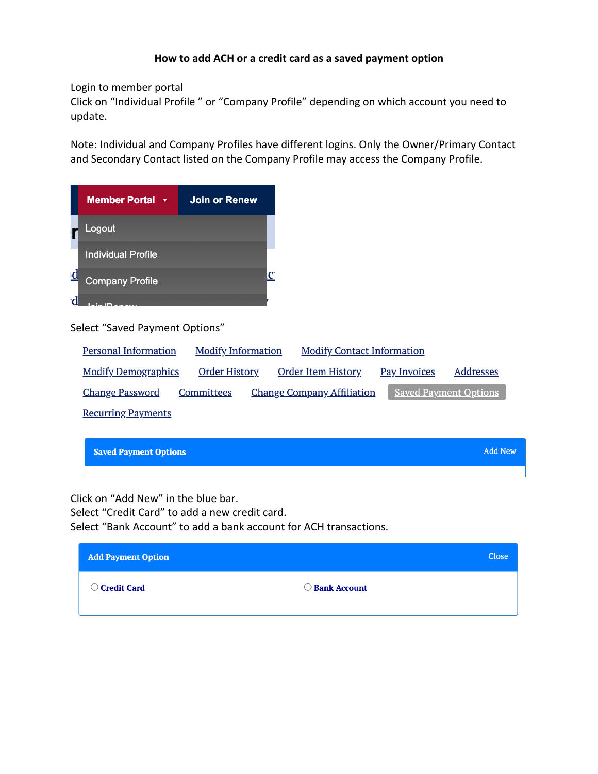## **How to add ACH or a credit card as a saved payment option**

Login to member portal

Click on "Individual Profile " or "Company Profile" depending on which account you need to update.

Note: Individual and Company Profiles have different logins. Only the Owner/Primary Contact and Secondary Contact listed on the Company Profile may access the Company Profile.

|                | <b>Member Portal</b><br>- 7 | <b>Join or Renew</b> |
|----------------|-----------------------------|----------------------|
|                | Logout                      |                      |
|                | <b>Individual Profile</b>   |                      |
| $\overline{d}$ | <b>Company Profile</b>      |                      |
|                |                             |                      |

Select "Saved Payment Options"

| <b>Personal Information</b> | <b>Modify Information</b> | <b>Modify Contact Information</b> |                     |                              |
|-----------------------------|---------------------------|-----------------------------------|---------------------|------------------------------|
| <b>Modify Demographics</b>  | <b>Order History</b>      | <b>Order Item History</b>         | <b>Pay Invoices</b> | <b>Addresses</b>             |
| <b>Change Password</b>      | Committees                | <b>Change Company Affiliation</b> |                     | <b>Saved Payment Options</b> |
| <b>Recurring Payments</b>   |                           |                                   |                     |                              |

| <b>Saved Payment Options</b> | <b>Add New</b> |
|------------------------------|----------------|
|                              |                |

Click on "Add New" in the blue bar. Select "Credit Card" to add a new credit card. Select "Bank Account" to add a bank account for ACH transactions.

| <b>Add Payment Option</b> | Close          |
|---------------------------|----------------|
| $\bigcirc$ Credit Card    | ◯ Bank Account |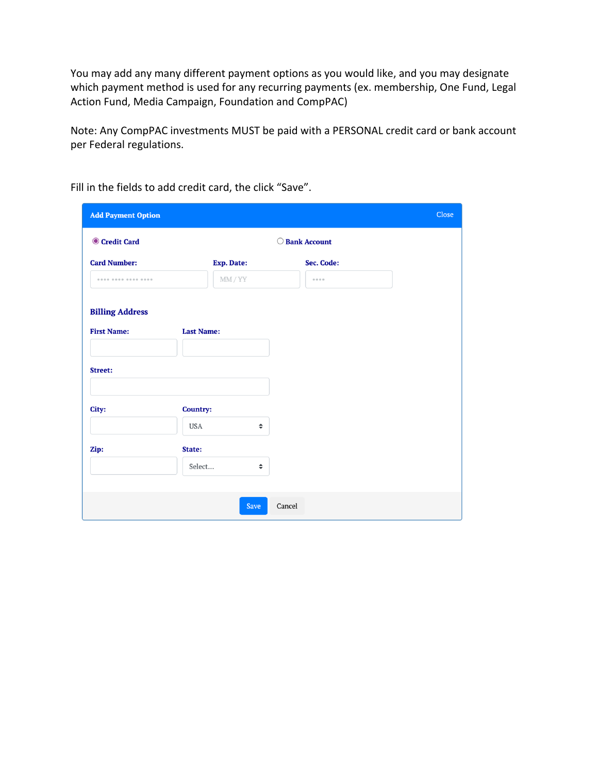You may add any many different payment options as you would like, and you may designate which payment method is used for any recurring payments (ex. membership, One Fund, Legal Action Fund, Media Campaign, Foundation and CompPAC)

Note: Any CompPAC investments MUST be paid with a PERSONAL credit card or bank account per Federal regulations.

| <b>Add Payment Option</b> |                   |                         |                    | Close |
|---------------------------|-------------------|-------------------------|--------------------|-------|
| Credit Card               |                   | $\bigcirc$ Bank Account |                    |       |
| <b>Card Number:</b>       |                   | <b>Exp. Date:</b>       | Sec. Code:         |       |
|                           |                   | MM/YY                   | $0\;\;0\;\;0\;\;0$ |       |
| <b>Billing Address</b>    |                   |                         |                    |       |
| <b>First Name:</b>        | <b>Last Name:</b> |                         |                    |       |
|                           |                   |                         |                    |       |
| <b>Street:</b>            |                   |                         |                    |       |
| City:                     | <b>Country:</b>   |                         |                    |       |
|                           | <b>USA</b>        | $\div$                  |                    |       |
| Zip:                      | State:            |                         |                    |       |
|                           | Select            | $\div$                  |                    |       |
|                           |                   |                         |                    |       |
|                           |                   | <b>Save</b>             | Cancel             |       |

Fill in the fields to add credit card, the click "Save".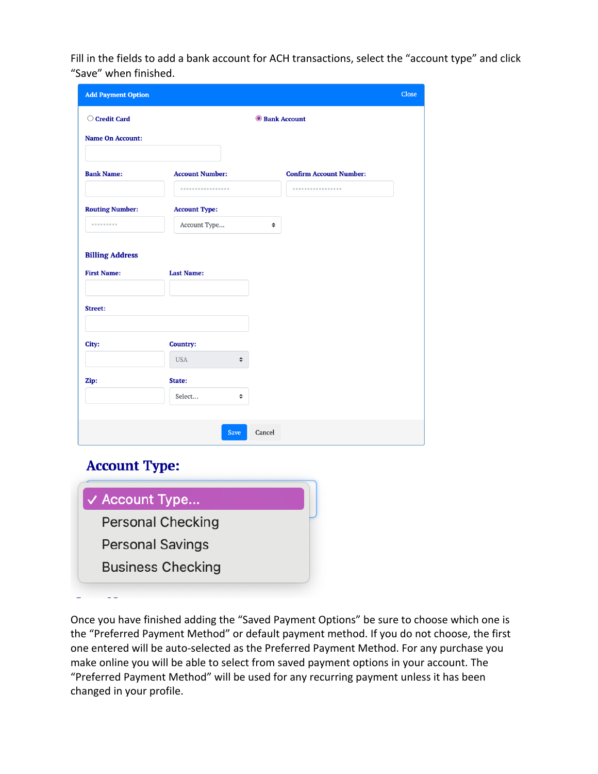Fill in the fields to add a bank account for ACH transactions, select the "account type" and click "Save" when finished.

| <b>Add Payment Option</b>                                                 |                                                     |                                    | Close |  |
|---------------------------------------------------------------------------|-----------------------------------------------------|------------------------------------|-------|--|
| ○ Credit Card<br><b>Name On Account:</b>                                  | <b>Bank Account</b>                                 |                                    |       |  |
| <b>Bank Name:</b>                                                         | <b>Account Number:</b><br>                          | <b>Confirm Account Number:</b><br> |       |  |
| <b>Routing Number:</b>                                                    | <b>Account Type:</b>                                |                                    |       |  |
| $\begin{smallmatrix} 0 & 0 & 0 & 0 & 0 & 0 & 0 & 0 & 0 \end{smallmatrix}$ | Account Type                                        | $\div$                             |       |  |
| <b>Billing Address</b><br><b>First Name:</b><br><b>Street:</b>            | <b>Last Name:</b>                                   |                                    |       |  |
| City:                                                                     | <b>Country:</b>                                     |                                    |       |  |
| Zip:                                                                      | <b>USA</b><br>$\spadesuit$<br>State:<br>Select<br>٠ |                                    |       |  |
|                                                                           | <b>Save</b>                                         | Cancel                             |       |  |

## **Account Type:**



Once you have finished adding the "Saved Payment Options" be sure to choose which one is the "Preferred Payment Method" or default payment method. If you do not choose, the first one entered will be auto-selected as the Preferred Payment Method. For any purchase you make online you will be able to select from saved payment options in your account. The "Preferred Payment Method" will be used for any recurring payment unless it has been changed in your profile.